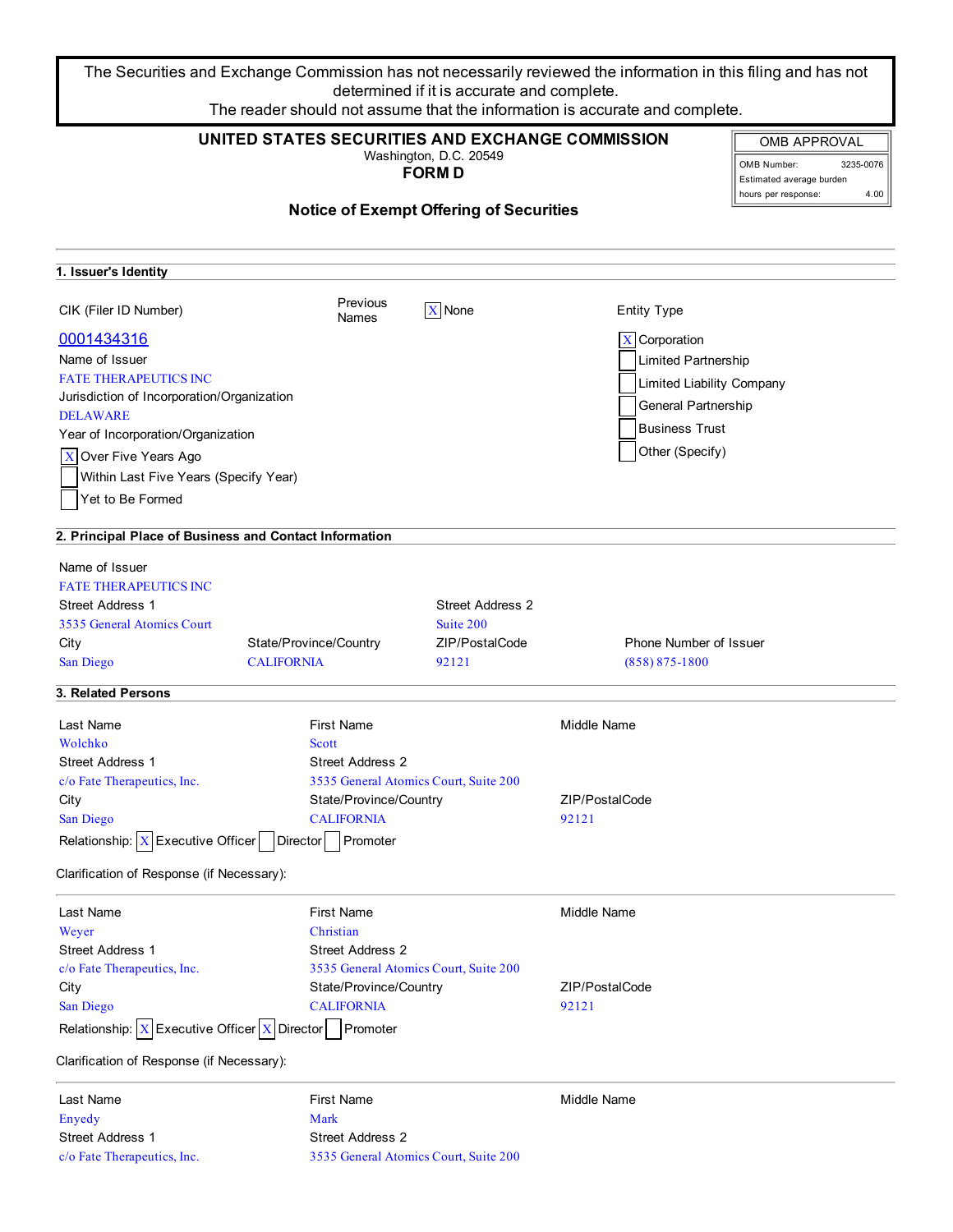The Securities and Exchange Commission has not necessarily reviewed the information in this filing and has not determined if it is accurate and complete. The reader should not assume that the information is accurate and complete.

| UNITED STATES SECURITIES AND EXCHANGE COMMISSION<br><b>OMB APPROVAL</b><br>Washington, D.C. 20549<br>OMB Number:<br><b>FORMD</b><br>Estimated average burden<br>hours per response: |                         |                                                |                               |  |
|-------------------------------------------------------------------------------------------------------------------------------------------------------------------------------------|-------------------------|------------------------------------------------|-------------------------------|--|
|                                                                                                                                                                                     |                         | <b>Notice of Exempt Offering of Securities</b> |                               |  |
| 1. Issuer's Identity                                                                                                                                                                |                         |                                                |                               |  |
| CIK (Filer ID Number)                                                                                                                                                               | Previous<br>Names       | X None                                         | <b>Entity Type</b>            |  |
| 0001434316                                                                                                                                                                          |                         |                                                | $X$ Corporation               |  |
| Name of Issuer                                                                                                                                                                      |                         |                                                | Limited Partnership           |  |
| <b>FATE THERAPEUTICS INC</b>                                                                                                                                                        |                         |                                                |                               |  |
| Jurisdiction of Incorporation/Organization                                                                                                                                          |                         |                                                | Limited Liability Company     |  |
| <b>DELAWARE</b>                                                                                                                                                                     |                         |                                                | General Partnership           |  |
| Year of Incorporation/Organization                                                                                                                                                  |                         |                                                | <b>Business Trust</b>         |  |
| X Over Five Years Ago                                                                                                                                                               |                         |                                                | Other (Specify)               |  |
| Within Last Five Years (Specify Year)                                                                                                                                               |                         |                                                |                               |  |
| Yet to Be Formed                                                                                                                                                                    |                         |                                                |                               |  |
|                                                                                                                                                                                     |                         |                                                |                               |  |
| 2. Principal Place of Business and Contact Information                                                                                                                              |                         |                                                |                               |  |
| Name of Issuer                                                                                                                                                                      |                         |                                                |                               |  |
| <b>FATE THERAPEUTICS INC</b>                                                                                                                                                        |                         |                                                |                               |  |
| <b>Street Address 1</b>                                                                                                                                                             |                         | <b>Street Address 2</b>                        |                               |  |
| 3535 General Atomics Court                                                                                                                                                          |                         | Suite 200                                      |                               |  |
| City                                                                                                                                                                                | State/Province/Country  | ZIP/PostalCode                                 | <b>Phone Number of Issuer</b> |  |
| San Diego                                                                                                                                                                           | <b>CALIFORNIA</b>       | 92121                                          | $(858) 875 - 1800$            |  |
| 3. Related Persons                                                                                                                                                                  |                         |                                                |                               |  |
|                                                                                                                                                                                     |                         |                                                |                               |  |
| Last Name                                                                                                                                                                           | <b>First Name</b>       |                                                | Middle Name                   |  |
| Wolchko                                                                                                                                                                             | Scott                   |                                                |                               |  |
| <b>Street Address 1</b>                                                                                                                                                             | <b>Street Address 2</b> |                                                |                               |  |
| c/o Fate Therapeutics, Inc.                                                                                                                                                         |                         | 3535 General Atomics Court, Suite 200          |                               |  |
| City                                                                                                                                                                                | State/Province/Country  |                                                | ZIP/PostalCode                |  |
| San Diego                                                                                                                                                                           | <b>CALIFORNIA</b>       |                                                | 92121                         |  |
| Relationship: $X$ Executive Officer                                                                                                                                                 | Director Promoter       |                                                |                               |  |
| Clarification of Response (if Necessary):                                                                                                                                           |                         |                                                |                               |  |
| Last Name                                                                                                                                                                           | <b>First Name</b>       |                                                | Middle Name                   |  |
| Weyer                                                                                                                                                                               | Christian               |                                                |                               |  |
| <b>Street Address 1</b>                                                                                                                                                             | <b>Street Address 2</b> |                                                |                               |  |
| c/o Fate Therapeutics, Inc.                                                                                                                                                         |                         | 3535 General Atomics Court, Suite 200          |                               |  |
| City                                                                                                                                                                                | State/Province/Country  |                                                | ZIP/PostalCode                |  |
| San Diego                                                                                                                                                                           | <b>CALIFORNIA</b>       |                                                | 92121                         |  |
| Relationship: $X$ Executive Officer $X$ Director                                                                                                                                    | Promoter                |                                                |                               |  |
| Clarification of Response (if Necessary):                                                                                                                                           |                         |                                                |                               |  |
| Last Name                                                                                                                                                                           | <b>First Name</b>       |                                                | Middle Name                   |  |
| Enyedy                                                                                                                                                                              | Mark                    |                                                |                               |  |
| <b>Street Address 1</b>                                                                                                                                                             | <b>Street Address 2</b> |                                                |                               |  |
| c/o Fate Therapeutics, Inc.                                                                                                                                                         |                         | 3535 General Atomics Court, Suite 200          |                               |  |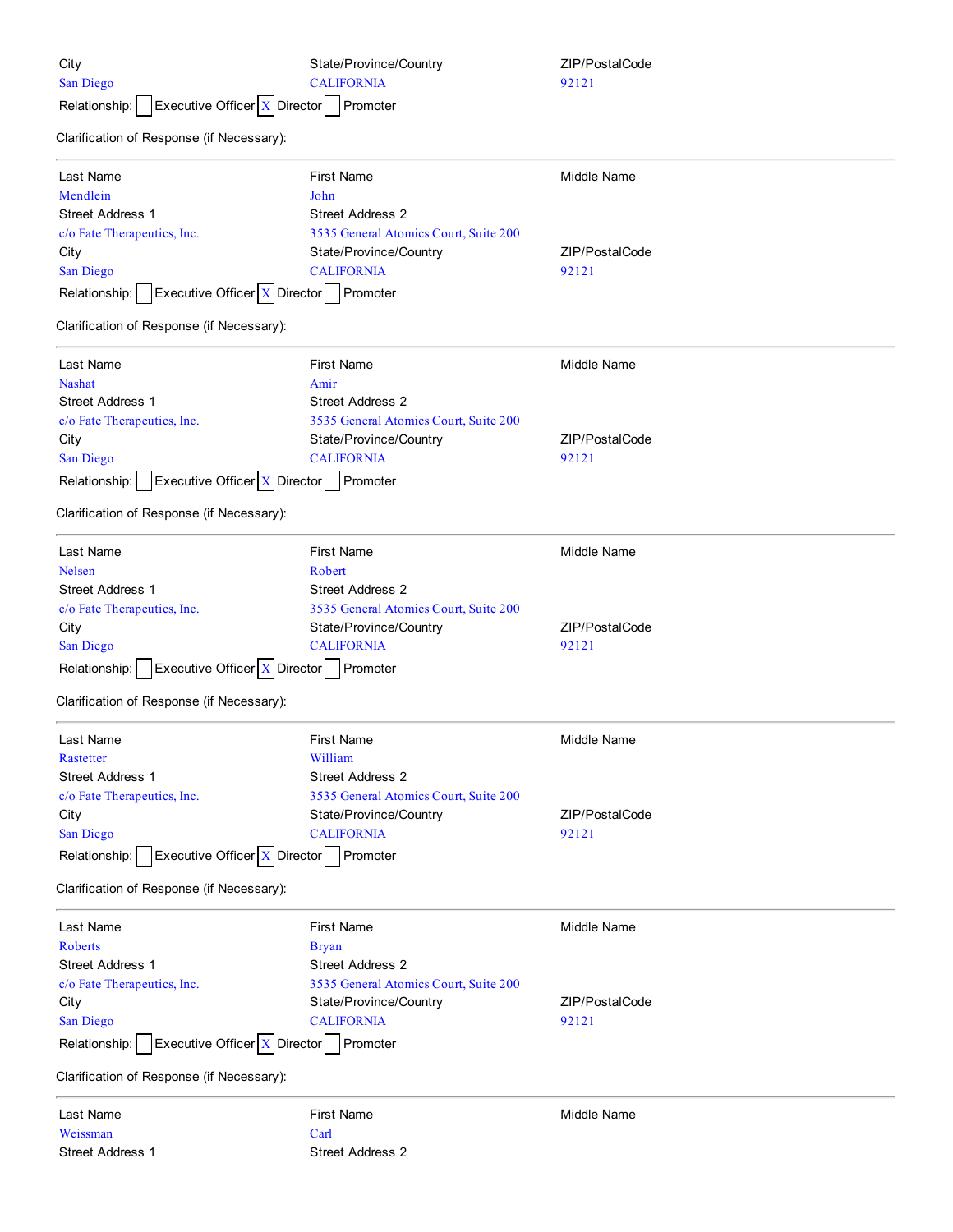| City<br>San Diego<br>Executive Officer X Director<br>Relationship: | State/Province/Country<br><b>CALIFORNIA</b><br>Promoter | ZIP/PostalCode<br>92121 |
|--------------------------------------------------------------------|---------------------------------------------------------|-------------------------|
| Clarification of Response (if Necessary):                          |                                                         |                         |
| Last Name                                                          | <b>First Name</b>                                       | Middle Name             |
| Mendlein                                                           | John                                                    |                         |
| <b>Street Address 1</b>                                            | <b>Street Address 2</b>                                 |                         |
| c/o Fate Therapeutics, Inc.                                        | 3535 General Atomics Court, Suite 200                   |                         |
| City                                                               | State/Province/Country                                  | ZIP/PostalCode          |
| San Diego                                                          | <b>CALIFORNIA</b>                                       | 92121                   |
| Executive Officer   X   Director<br>Relationship:                  | Promoter                                                |                         |
| Clarification of Response (if Necessary):                          |                                                         |                         |
| Last Name                                                          | <b>First Name</b>                                       | <b>Middle Name</b>      |
| <b>Nashat</b>                                                      | Amir                                                    |                         |
| Street Address 1                                                   | <b>Street Address 2</b>                                 |                         |
| c/o Fate Therapeutics, Inc.                                        | 3535 General Atomics Court, Suite 200                   |                         |
| City                                                               | State/Province/Country                                  | ZIP/PostalCode          |
| San Diego                                                          | <b>CALIFORNIA</b>                                       | 92121                   |
| Executive Officer $X$ Director<br>Relationship:                    | Promoter                                                |                         |
| Clarification of Response (if Necessary):                          |                                                         |                         |
| Last Name                                                          | <b>First Name</b>                                       | <b>Middle Name</b>      |
| <b>Nelsen</b>                                                      | Robert                                                  |                         |
| Street Address 1                                                   | <b>Street Address 2</b>                                 |                         |
| c/o Fate Therapeutics, Inc.                                        | 3535 General Atomics Court, Suite 200                   |                         |
| City                                                               | State/Province/Country                                  | ZIP/PostalCode          |
| San Diego                                                          | <b>CALIFORNIA</b>                                       | 92121                   |
| Executive Officer $X$ Director<br>Relationship:                    | Promoter                                                |                         |
|                                                                    |                                                         |                         |
| Clarification of Response (if Necessary):                          |                                                         |                         |
| Last Name                                                          | First Name                                              | Middle Name             |
| Rastetter                                                          | William                                                 |                         |
| <b>Street Address 1</b>                                            | <b>Street Address 2</b>                                 |                         |
| c/o Fate Therapeutics, Inc.                                        | 3535 General Atomics Court, Suite 200                   |                         |
| City                                                               | State/Province/Country                                  | ZIP/PostalCode          |
| San Diego                                                          | <b>CALIFORNIA</b>                                       | 92121                   |
| Executive Officer   X   Director<br>Relationship:                  | Promoter                                                |                         |
| Clarification of Response (if Necessary):                          |                                                         |                         |
| Last Name                                                          | <b>First Name</b>                                       | Middle Name             |
| Roberts                                                            | <b>Bryan</b>                                            |                         |
| <b>Street Address 1</b>                                            | <b>Street Address 2</b>                                 |                         |
| c/o Fate Therapeutics, Inc.                                        | 3535 General Atomics Court, Suite 200                   |                         |
| City                                                               | State/Province/Country                                  | ZIP/PostalCode          |
| San Diego                                                          | <b>CALIFORNIA</b>                                       | 92121                   |
| Executive Officer $X$ Director<br>Relationship:                    | Promoter                                                |                         |
| Clarification of Response (if Necessary):                          |                                                         |                         |
| Last Name                                                          | <b>First Name</b>                                       | Middle Name             |
| Weissman                                                           | Carl                                                    |                         |
| Street Address 1                                                   | Street Address 2                                        |                         |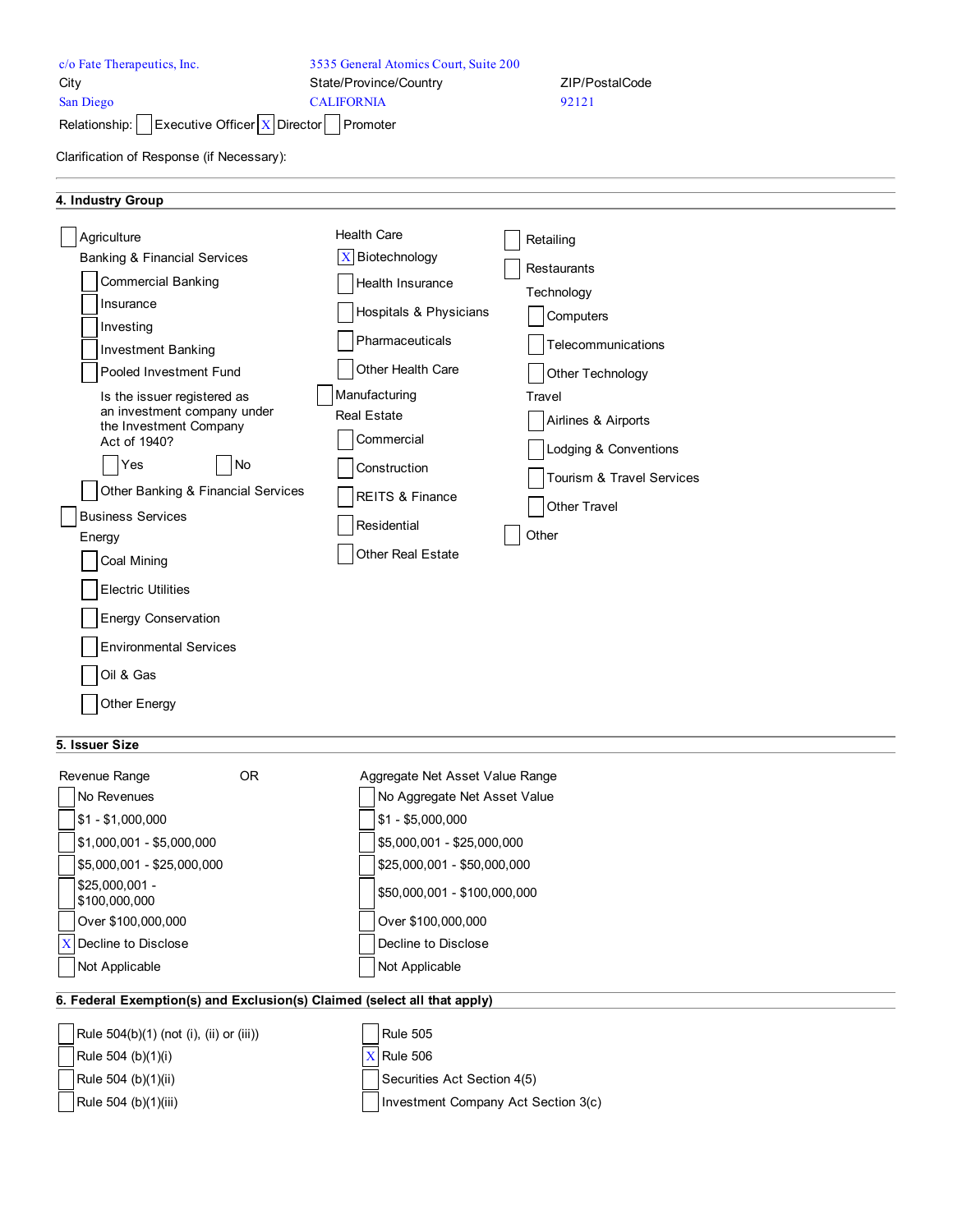| c/o Fate Therapeutics, Inc.<br>City<br>San Diego<br>Executive Officer $X$ Director<br>Relationship:<br>Clarification of Response (if Necessary):                                                                                                                                                                                                                                                                                                                                                                     | 3535 General Atomics Court, Suite 200<br>State/Province/Country<br><b>CALIFORNIA</b><br>Promoter                                                                                                                                                                     | ZIP/PostalCode<br>92121                                                                                                                                                                                       |
|----------------------------------------------------------------------------------------------------------------------------------------------------------------------------------------------------------------------------------------------------------------------------------------------------------------------------------------------------------------------------------------------------------------------------------------------------------------------------------------------------------------------|----------------------------------------------------------------------------------------------------------------------------------------------------------------------------------------------------------------------------------------------------------------------|---------------------------------------------------------------------------------------------------------------------------------------------------------------------------------------------------------------|
| 4. Industry Group                                                                                                                                                                                                                                                                                                                                                                                                                                                                                                    |                                                                                                                                                                                                                                                                      |                                                                                                                                                                                                               |
| Agriculture<br><b>Banking &amp; Financial Services</b><br><b>Commercial Banking</b><br>Insurance<br>Investing<br><b>Investment Banking</b><br>Pooled Investment Fund<br>Is the issuer registered as<br>an investment company under<br>the Investment Company<br>Act of 1940?<br>Yes<br><b>No</b><br>Other Banking & Financial Services<br><b>Business Services</b><br>Energy<br>Coal Mining<br><b>Electric Utilities</b><br><b>Energy Conservation</b><br><b>Environmental Services</b><br>Oil & Gas<br>Other Energy | <b>Health Care</b><br>$\mathbf X$<br>Biotechnology<br>Health Insurance<br>Hospitals & Physicians<br>Pharmaceuticals<br>Other Health Care<br>Manufacturing<br><b>Real Estate</b><br>Commercial<br>Construction<br>REITS & Finance<br>Residential<br>Other Real Estate | Retailing<br>Restaurants<br>Technology<br>Computers<br>Telecommunications<br>Other Technology<br>Travel<br>Airlines & Airports<br>Lodging & Conventions<br>Tourism & Travel Services<br>Other Travel<br>Other |

# **5. Issuer Size**

| Revenue Range                                                            | OR. | Aggregate Net Asset Value Range     |
|--------------------------------------------------------------------------|-----|-------------------------------------|
| No Revenues                                                              |     | No Aggregate Net Asset Value        |
| $$1 - $1,000,000$                                                        |     | $$1 - $5,000,000$                   |
| $$1,000,001 - $5,000,000$                                                |     | \$5,000,001 - \$25,000,000          |
| \$5,000,001 - \$25,000,000                                               |     | \$25,000,001 - \$50,000,000         |
| $$25,000,001 -$<br>\$100,000,000                                         |     | \$50,000,001 - \$100,000,000        |
| Over \$100,000,000                                                       |     | Over \$100,000,000                  |
| $X$ Decline to Disclose                                                  |     | Decline to Disclose                 |
| Not Applicable                                                           |     | Not Applicable                      |
| 6. Federal Exemption(s) and Exclusion(s) Claimed (select all that apply) |     |                                     |
|                                                                          |     |                                     |
| Rule 504(b)(1) (not (i), (ii) or (iii))                                  |     | <b>Rule 505</b>                     |
| Rule 504 (b)(1)(i)                                                       |     | <b>Rule 506</b>                     |
| Rule 504 (b)(1)(ii)                                                      |     | Securities Act Section 4(5)         |
| Rule 504 (b)(1)(iii)                                                     |     | Investment Company Act Section 3(c) |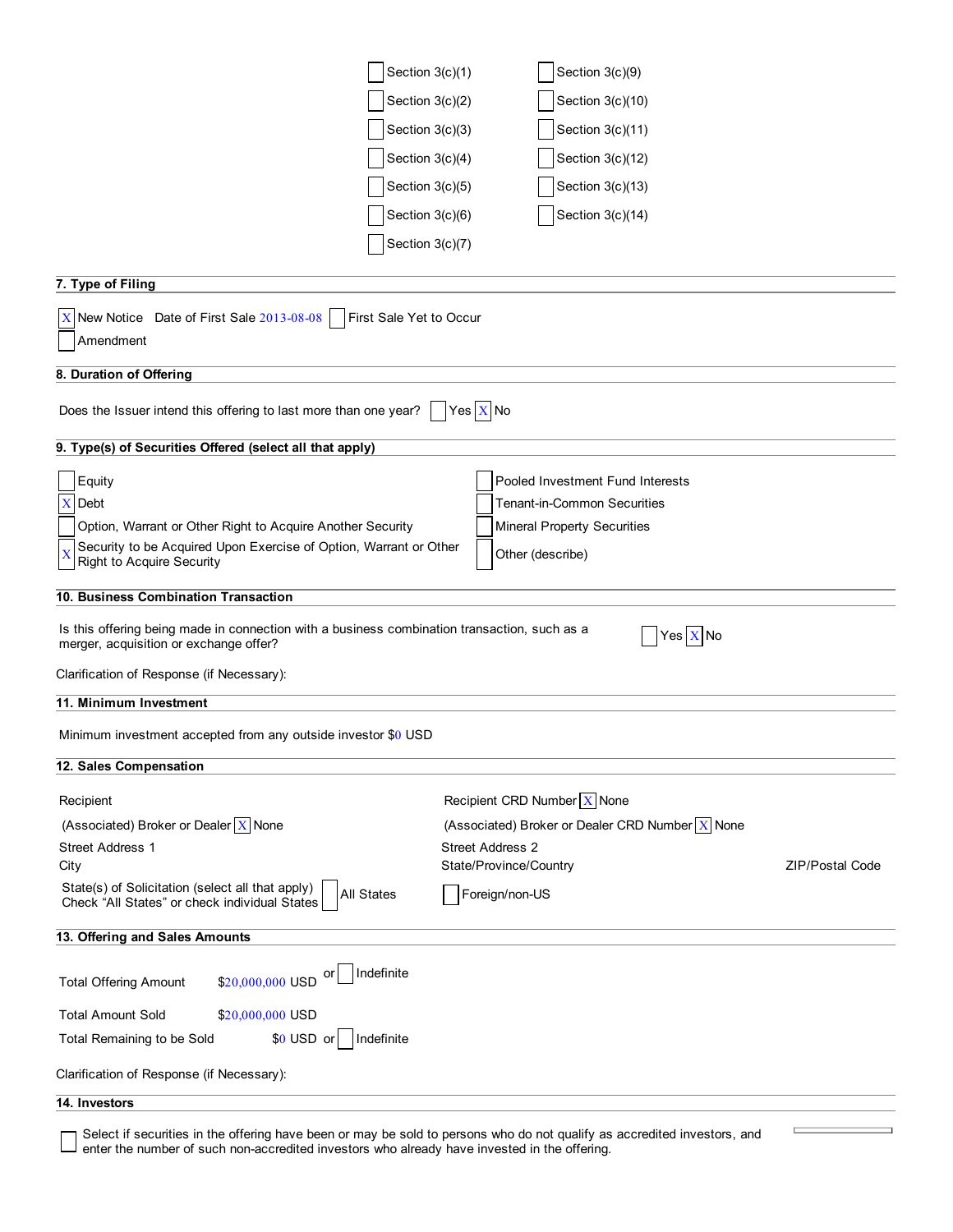| Section $3(c)(1)$                                                                                                                      | Section 3(c)(9)                                   |                        |
|----------------------------------------------------------------------------------------------------------------------------------------|---------------------------------------------------|------------------------|
| Section $3(c)(2)$                                                                                                                      | Section 3(c)(10)                                  |                        |
| Section 3(c)(3)                                                                                                                        | Section 3(c)(11)                                  |                        |
| Section $3(c)(4)$                                                                                                                      | Section 3(c)(12)                                  |                        |
| Section 3(c)(5)                                                                                                                        | Section 3(c)(13)                                  |                        |
| Section $3(c)(6)$                                                                                                                      | Section 3(c)(14)                                  |                        |
| Section 3(c)(7)                                                                                                                        |                                                   |                        |
|                                                                                                                                        |                                                   |                        |
| 7. Type of Filing                                                                                                                      |                                                   |                        |
| $\overline{X}$ New Notice Date of First Sale 2013-08-08<br>First Sale Yet to Occur                                                     |                                                   |                        |
| Amendment                                                                                                                              |                                                   |                        |
| 8. Duration of Offering                                                                                                                |                                                   |                        |
| Does the Issuer intend this offering to last more than one year?                                                                       | $ $ Yes $ X $ No                                  |                        |
| 9. Type(s) of Securities Offered (select all that apply)                                                                               |                                                   |                        |
| Equity                                                                                                                                 | Pooled Investment Fund Interests                  |                        |
| $\mathbf X$<br>Debt                                                                                                                    | <b>Tenant-in-Common Securities</b>                |                        |
| Option, Warrant or Other Right to Acquire Another Security                                                                             | <b>Mineral Property Securities</b>                |                        |
| Security to be Acquired Upon Exercise of Option, Warrant or Other<br><b>Right to Acquire Security</b>                                  | Other (describe)                                  |                        |
| 10. Business Combination Transaction                                                                                                   |                                                   |                        |
| Is this offering being made in connection with a business combination transaction, such as a<br>merger, acquisition or exchange offer? | Yes $X$ No                                        |                        |
| Clarification of Response (if Necessary):                                                                                              |                                                   |                        |
| 11. Minimum Investment                                                                                                                 |                                                   |                        |
| Minimum investment accepted from any outside investor \$0 USD                                                                          |                                                   |                        |
| 12. Sales Compensation                                                                                                                 |                                                   |                        |
| Recipient                                                                                                                              | Recipient CRD Number $\boxed{\text{X}}$ None      |                        |
| (Associated) Broker or Dealer $X$ None                                                                                                 | (Associated) Broker or Dealer CRD Number $X$ None |                        |
| <b>Street Address 1</b>                                                                                                                | <b>Street Address 2</b>                           |                        |
| City                                                                                                                                   | State/Province/Country                            | <b>ZIP/Postal Code</b> |
| State(s) of Solicitation (select all that apply)<br><b>All States</b><br>Check "All States" or check individual States                 | Foreign/non-US                                    |                        |
| 13. Offering and Sales Amounts                                                                                                         |                                                   |                        |
| Indefinite<br>\$20,000,000 USD<br><b>Total Offering Amount</b>                                                                         |                                                   |                        |
| <b>Total Amount Sold</b><br>\$20,000,000 USD                                                                                           |                                                   |                        |
| \$0 USD or<br>Indefinite<br>Total Remaining to be Sold                                                                                 |                                                   |                        |
| Clarification of Response (if Necessary):                                                                                              |                                                   |                        |
| 14. Investors                                                                                                                          |                                                   |                        |
|                                                                                                                                        |                                                   |                        |

Select if securities in the offering have been or may be sold to persons who do not qualify as accredited investors, and enter the number of such non-accredited investors who already have invested in the offering.